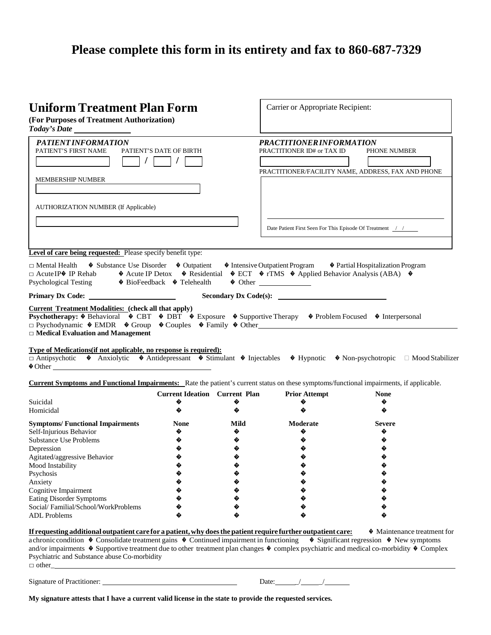## **Please complete this form in its entirety and fax to 860-687-7329**

| <b>Uniform Treatment Plan Form</b><br>(For Purposes of Treatment Authorization)                                                                                                                                                                                                                                                                                                                                                                                                                       |                                      |       | Carrier or Appropriate Recipient:                                                                                                                                                                                        |                                                    |  |  |  |  |  |
|-------------------------------------------------------------------------------------------------------------------------------------------------------------------------------------------------------------------------------------------------------------------------------------------------------------------------------------------------------------------------------------------------------------------------------------------------------------------------------------------------------|--------------------------------------|-------|--------------------------------------------------------------------------------------------------------------------------------------------------------------------------------------------------------------------------|----------------------------------------------------|--|--|--|--|--|
| PATIENT INFORMATION<br>PATIENT'S FIRST NAME<br>$\prime$                                                                                                                                                                                                                                                                                                                                                                                                                                               | PATIENT'S DATE OF BIRTH              |       | PRACTITIONER INFORMATION<br>PRACTITIONER ID# or TAX ID                                                                                                                                                                   | PHONE NUMBER                                       |  |  |  |  |  |
|                                                                                                                                                                                                                                                                                                                                                                                                                                                                                                       |                                      |       |                                                                                                                                                                                                                          | PRACTITIONER/FACILITY NAME, ADDRESS, FAX AND PHONE |  |  |  |  |  |
| <b>MEMBERSHIP NUMBER</b>                                                                                                                                                                                                                                                                                                                                                                                                                                                                              |                                      |       |                                                                                                                                                                                                                          |                                                    |  |  |  |  |  |
|                                                                                                                                                                                                                                                                                                                                                                                                                                                                                                       |                                      |       |                                                                                                                                                                                                                          |                                                    |  |  |  |  |  |
| <b>AUTHORIZATION NUMBER (If Applicable)</b>                                                                                                                                                                                                                                                                                                                                                                                                                                                           |                                      |       |                                                                                                                                                                                                                          |                                                    |  |  |  |  |  |
|                                                                                                                                                                                                                                                                                                                                                                                                                                                                                                       |                                      |       |                                                                                                                                                                                                                          |                                                    |  |  |  |  |  |
|                                                                                                                                                                                                                                                                                                                                                                                                                                                                                                       |                                      |       | Date Patient First Seen For This Episode Of Treatment / /                                                                                                                                                                |                                                    |  |  |  |  |  |
| Level of care being requested: Please specify benefit type:                                                                                                                                                                                                                                                                                                                                                                                                                                           |                                      |       |                                                                                                                                                                                                                          |                                                    |  |  |  |  |  |
| ♦ Substance Use Disorder ♦ Outpatient<br>$\Box$ Mental Health<br>$\Box$ Acute IP $\odot$ IP Rehab<br><b>Psychological Testing</b>                                                                                                                                                                                                                                                                                                                                                                     | ♦ BioFeedback ♦ Telehealth           |       | • Intensive Outpatient Program • • Partial Hospitalization Program<br>$\bullet$ Acute IP Detox $\bullet$ Residential $\bullet$ ECT $\bullet$ rTMS $\bullet$ Applied Behavior Analysis (ABA) $\bullet$<br>$\bullet$ Other |                                                    |  |  |  |  |  |
| Primary Dx Code:                                                                                                                                                                                                                                                                                                                                                                                                                                                                                      |                                      |       |                                                                                                                                                                                                                          |                                                    |  |  |  |  |  |
| $\Box$ Medical Evaluation and Management<br>Type of Medications (if not applicable, no response is required):<br>□ Antipsychotic • Anxiolytic • Antidepressant • Stimulant • Injectables • Hypnotic • Non-psychotropic □ Mood Stabilizer<br>$\bigcirc$ Other<br><b>Current Symptoms and Functional Impairments:</b> Rate the patient's current status on these symptoms/functional impairments, if applicable.                                                                                        | <b>Current Ideation</b> Current Plan |       | <b>Prior Attempt</b>                                                                                                                                                                                                     | <b>None</b>                                        |  |  |  |  |  |
| Suicidal                                                                                                                                                                                                                                                                                                                                                                                                                                                                                              | �                                    | �     | �                                                                                                                                                                                                                        | �                                                  |  |  |  |  |  |
| Homicidal                                                                                                                                                                                                                                                                                                                                                                                                                                                                                             | ♦                                    | ♦     | �                                                                                                                                                                                                                        | ♦                                                  |  |  |  |  |  |
| <b>Symptoms/ Functional Impairments</b>                                                                                                                                                                                                                                                                                                                                                                                                                                                               | <b>None</b>                          | Mild  | Moderate                                                                                                                                                                                                                 | <b>Severe</b>                                      |  |  |  |  |  |
| Self-Injurious Behavior                                                                                                                                                                                                                                                                                                                                                                                                                                                                               | �                                    | �     | �                                                                                                                                                                                                                        | �                                                  |  |  |  |  |  |
| <b>Substance Use Problems</b>                                                                                                                                                                                                                                                                                                                                                                                                                                                                         |                                      | �     |                                                                                                                                                                                                                          | �                                                  |  |  |  |  |  |
| Depression                                                                                                                                                                                                                                                                                                                                                                                                                                                                                            |                                      |       | �                                                                                                                                                                                                                        | �                                                  |  |  |  |  |  |
| Agitated/aggressive Behavior                                                                                                                                                                                                                                                                                                                                                                                                                                                                          |                                      |       |                                                                                                                                                                                                                          |                                                    |  |  |  |  |  |
| Mood Instability                                                                                                                                                                                                                                                                                                                                                                                                                                                                                      |                                      |       |                                                                                                                                                                                                                          |                                                    |  |  |  |  |  |
| Psychosis                                                                                                                                                                                                                                                                                                                                                                                                                                                                                             |                                      |       |                                                                                                                                                                                                                          |                                                    |  |  |  |  |  |
| Anxiety                                                                                                                                                                                                                                                                                                                                                                                                                                                                                               |                                      |       |                                                                                                                                                                                                                          |                                                    |  |  |  |  |  |
| Cognitive Impairment                                                                                                                                                                                                                                                                                                                                                                                                                                                                                  |                                      |       |                                                                                                                                                                                                                          |                                                    |  |  |  |  |  |
| <b>Eating Disorder Symptoms</b>                                                                                                                                                                                                                                                                                                                                                                                                                                                                       |                                      |       |                                                                                                                                                                                                                          |                                                    |  |  |  |  |  |
| Social/Familial/School/WorkProblems                                                                                                                                                                                                                                                                                                                                                                                                                                                                   |                                      |       |                                                                                                                                                                                                                          |                                                    |  |  |  |  |  |
| <b>ADL</b> Problems                                                                                                                                                                                                                                                                                                                                                                                                                                                                                   |                                      |       |                                                                                                                                                                                                                          |                                                    |  |  |  |  |  |
| If requesting additional outpatient care for a patient, why does the patient require further outpatient care:<br>achronic condition $\phi$ Consolidate treatment gains $\phi$ Continued impairment in functioning $\phi$ Significant regression $\phi$ New symptoms<br>and/or impairments $\bullet$ Supportive treatment due to other treatment plan changes $\bullet$ complex psychiatric and medical co-morbidity $\bullet$ Complex<br>Psychiatric and Substance abuse Co-morbidity<br>$\Box$ other |                                      |       |                                                                                                                                                                                                                          | • Maintenance treatment for                        |  |  |  |  |  |
| Signature of Practitioner:                                                                                                                                                                                                                                                                                                                                                                                                                                                                            |                                      | Date: |                                                                                                                                                                                                                          |                                                    |  |  |  |  |  |

**My signature attests that I have a current valid license in the state to provide the requested services.**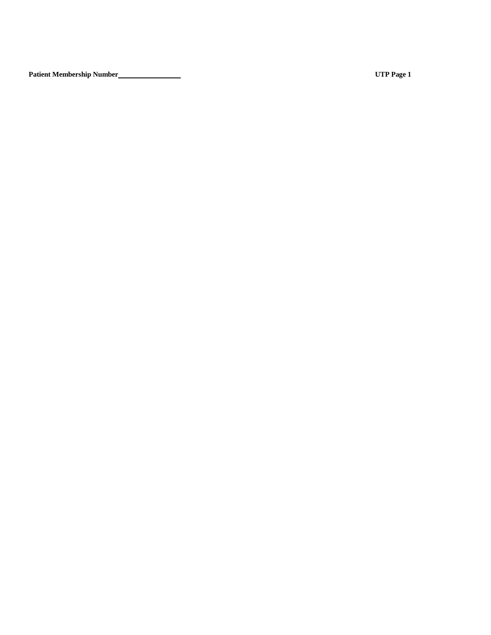**Patient Membership Number UTP Page 1**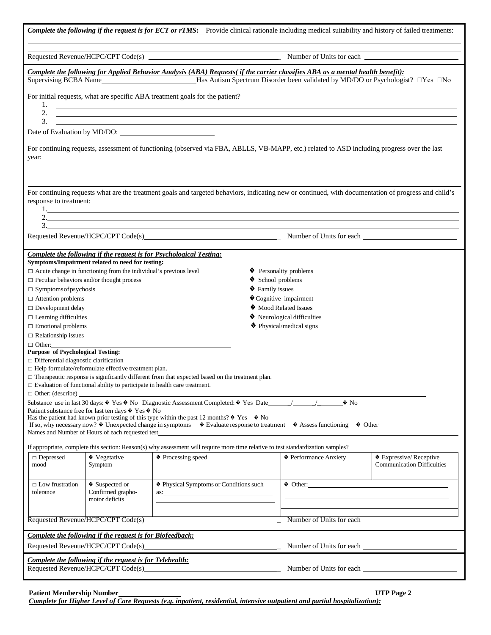| <b>Complete the following if the request is for ECT or rTMS:</b> Provide clinical rationale including medical suitability and history of failed treatments:                                                                                                                                                                                                                                                                                                                                                                                                                       |                                                                                                                                                 |                                                                                                                                                     |                   |                                               |                                   |  |  |  |  |
|-----------------------------------------------------------------------------------------------------------------------------------------------------------------------------------------------------------------------------------------------------------------------------------------------------------------------------------------------------------------------------------------------------------------------------------------------------------------------------------------------------------------------------------------------------------------------------------|-------------------------------------------------------------------------------------------------------------------------------------------------|-----------------------------------------------------------------------------------------------------------------------------------------------------|-------------------|-----------------------------------------------|-----------------------------------|--|--|--|--|
|                                                                                                                                                                                                                                                                                                                                                                                                                                                                                                                                                                                   |                                                                                                                                                 |                                                                                                                                                     |                   |                                               |                                   |  |  |  |  |
| For initial requests, what are specific ABA treatment goals for the patient?                                                                                                                                                                                                                                                                                                                                                                                                                                                                                                      |                                                                                                                                                 |                                                                                                                                                     |                   |                                               |                                   |  |  |  |  |
| 3.                                                                                                                                                                                                                                                                                                                                                                                                                                                                                                                                                                                |                                                                                                                                                 | 2. $\overline{\phantom{a}}$<br><u> 1989 - Johann John Stone, markin sanat masjid asl nashrida ma'lumot olib ma'lumot boʻlgan ma'lumot boʻlgan m</u> |                   |                                               |                                   |  |  |  |  |
|                                                                                                                                                                                                                                                                                                                                                                                                                                                                                                                                                                                   | Date of Evaluation by MD/DO:                                                                                                                    |                                                                                                                                                     |                   |                                               |                                   |  |  |  |  |
| year:                                                                                                                                                                                                                                                                                                                                                                                                                                                                                                                                                                             |                                                                                                                                                 | For continuing requests, assessment of functioning (observed via FBA, ABLLS, VB-MAPP, etc.) related to ASD including progress over the last         |                   |                                               |                                   |  |  |  |  |
| For continuing requests what are the treatment goals and targeted behaviors, indicating new or continued, with documentation of progress and child's<br>response to treatment:                                                                                                                                                                                                                                                                                                                                                                                                    |                                                                                                                                                 |                                                                                                                                                     |                   |                                               |                                   |  |  |  |  |
|                                                                                                                                                                                                                                                                                                                                                                                                                                                                                                                                                                                   |                                                                                                                                                 | 1.                                                                                                                                                  |                   |                                               |                                   |  |  |  |  |
|                                                                                                                                                                                                                                                                                                                                                                                                                                                                                                                                                                                   |                                                                                                                                                 | 2.                                                                                                                                                  |                   |                                               |                                   |  |  |  |  |
|                                                                                                                                                                                                                                                                                                                                                                                                                                                                                                                                                                                   |                                                                                                                                                 | Requested Revenue/HCPC/CPT Code(s) Number of Units for each Number of Units for each                                                                |                   |                                               |                                   |  |  |  |  |
|                                                                                                                                                                                                                                                                                                                                                                                                                                                                                                                                                                                   |                                                                                                                                                 | Complete the following if the request is for Psychological Testing:                                                                                 |                   |                                               |                                   |  |  |  |  |
|                                                                                                                                                                                                                                                                                                                                                                                                                                                                                                                                                                                   | Symptoms/Impairment related to need for testing:                                                                                                |                                                                                                                                                     |                   |                                               |                                   |  |  |  |  |
|                                                                                                                                                                                                                                                                                                                                                                                                                                                                                                                                                                                   | $\Box$ Acute change in functioning from the individual's previous level                                                                         |                                                                                                                                                     |                   | ♦ Personality problems                        |                                   |  |  |  |  |
|                                                                                                                                                                                                                                                                                                                                                                                                                                                                                                                                                                                   | $\Box$ Peculiar behaviors and/or thought process                                                                                                |                                                                                                                                                     | School problems   |                                               |                                   |  |  |  |  |
| $\Box$ Symptoms of psychosis                                                                                                                                                                                                                                                                                                                                                                                                                                                                                                                                                      |                                                                                                                                                 |                                                                                                                                                     | ♦ Family issues   |                                               |                                   |  |  |  |  |
| $\Box$ Attention problems<br>$\Box$ Development delay                                                                                                                                                                                                                                                                                                                                                                                                                                                                                                                             |                                                                                                                                                 |                                                                                                                                                     |                   | ♦ Cognitive impairment<br>Mood Related Issues |                                   |  |  |  |  |
| $\Box$ Learning difficulties                                                                                                                                                                                                                                                                                                                                                                                                                                                                                                                                                      |                                                                                                                                                 |                                                                                                                                                     |                   | ♦ Neurological difficulties                   |                                   |  |  |  |  |
| $\Box$ Emotional problems                                                                                                                                                                                                                                                                                                                                                                                                                                                                                                                                                         |                                                                                                                                                 |                                                                                                                                                     |                   | ♦ Physical/medical signs                      |                                   |  |  |  |  |
| $\Box$ Relationship issues                                                                                                                                                                                                                                                                                                                                                                                                                                                                                                                                                        |                                                                                                                                                 |                                                                                                                                                     |                   |                                               |                                   |  |  |  |  |
| $\Box$ Other:                                                                                                                                                                                                                                                                                                                                                                                                                                                                                                                                                                     |                                                                                                                                                 |                                                                                                                                                     |                   |                                               |                                   |  |  |  |  |
| <b>Purpose of Psychological Testing:</b><br>$\Box$ Differential diagnostic clarification                                                                                                                                                                                                                                                                                                                                                                                                                                                                                          | $\Box$ Help formulate/reformulate effective treatment plan.<br>$\Box$ Evaluation of functional ability to participate in health care treatment. | $\Box$ Therapeutic response is significantly different from that expected based on the treatment plan.                                              |                   |                                               |                                   |  |  |  |  |
| $\Box$ Other: (describe)                                                                                                                                                                                                                                                                                                                                                                                                                                                                                                                                                          |                                                                                                                                                 |                                                                                                                                                     |                   |                                               |                                   |  |  |  |  |
| Substance use in last 30 days: $\bullet$ Yes $\bullet$ No Diagnostic Assessment Completed: $\bullet$ Yes Date 1.1. $\bullet$ No<br>Patient substance free for last ten days $\hat{\mathbf{\triangledown}}$ Yes $\hat{\mathbf{\triangledown}}$ No<br>Has the patient had known prior testing of this type within the past 12 months? $\otimes$ Yes $\otimes$ No<br>If so, why necessary now? $\lozenge$ Unexpected change in symptoms $\lozenge$ Evaluate response to treatment $\lozenge$ Assess functioning $\lozenge$ Other<br>Names and Number of Hours of each requested test |                                                                                                                                                 |                                                                                                                                                     |                   |                                               |                                   |  |  |  |  |
|                                                                                                                                                                                                                                                                                                                                                                                                                                                                                                                                                                                   |                                                                                                                                                 | If appropriate, complete this section: Reason(s) why assessment will require more time relative to test standardization samples?                    |                   |                                               |                                   |  |  |  |  |
| $\Box$ Depressed                                                                                                                                                                                                                                                                                                                                                                                                                                                                                                                                                                  | ♦ Vegetative                                                                                                                                    | ♦ Processing speed                                                                                                                                  |                   | ♦ Performance Anxiety                         | ♦ Expressive/Receptive            |  |  |  |  |
| mood                                                                                                                                                                                                                                                                                                                                                                                                                                                                                                                                                                              | Symptom                                                                                                                                         |                                                                                                                                                     |                   |                                               | <b>Communication Difficulties</b> |  |  |  |  |
| $\Box$ Low frustration<br>tolerance                                                                                                                                                                                                                                                                                                                                                                                                                                                                                                                                               | ♦ Suspected or<br>Confirmed grapho-<br>motor deficits                                                                                           | ♦ Physical Symptoms or Conditions such<br>$\overline{\text{as:}}$                                                                                   | $\bigcirc$ Other: |                                               |                                   |  |  |  |  |
|                                                                                                                                                                                                                                                                                                                                                                                                                                                                                                                                                                                   |                                                                                                                                                 | Requested Revenue/HCPC/CPT Code(s)                                                                                                                  |                   |                                               | Number of Units for each          |  |  |  |  |
|                                                                                                                                                                                                                                                                                                                                                                                                                                                                                                                                                                                   | Complete the following if the request is for Biofeedback:                                                                                       |                                                                                                                                                     |                   |                                               |                                   |  |  |  |  |
|                                                                                                                                                                                                                                                                                                                                                                                                                                                                                                                                                                                   |                                                                                                                                                 | Requested Revenue/HCPC/CPT Code(s)                                                                                                                  |                   |                                               |                                   |  |  |  |  |
|                                                                                                                                                                                                                                                                                                                                                                                                                                                                                                                                                                                   | Complete the following if the request is for Telehealth:                                                                                        |                                                                                                                                                     |                   |                                               | Number of Units for each          |  |  |  |  |

**Patient Membership Number UTP Page 2**

*Complete for Higher Level of Care Requests (e.g. inpatient, residential, intensive outpatient and partial hospitalization):*